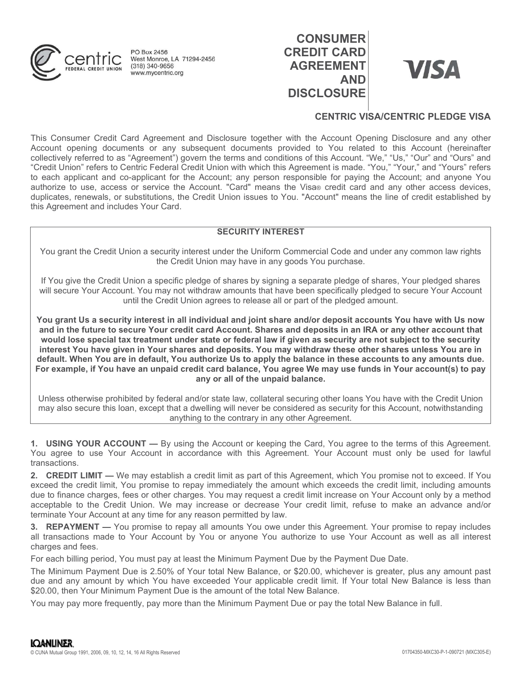

# **CONSUMER** CONSUMER<br>
CREDIT CARD<br>
AGREEMENT<br>
AND<br>
DISCLOSURE AGREEMENT VISA **DISCLOSURE**



## CENTRIC VISA/CENTRIC PLEDGE VISA

CONSUMER<br>
THIS CONSUMER<br>
THIS CONSUMERTED TO ARE CREDIT CARD<br>
THIS CONSUMERTED TO ARE CREDIT CARD<br>
THIS CONSUMERTED TO ARE CREDIT CARD<br>
THIS CONSUMERTED TO ARE CREDIT CARD<br>
THIS CONSUMERTED TO ARE CREDIT CARD<br>
THIS CONSUME **CONSUMER**<br>
ACCOUNTING WE AND ACCOUNT OR THE CARD<br>
AGREEMENT AND<br>
THE CONSUMERT CONSUMERT CONSUMERT AND<br>
THE CONSUME CENTRIC VISA/CENTRIC PLEDGE VISA<br>
This Consumer Credit Card Agreement and Disclosure together with the Ac CONSUMER<br>
CREDIT CARD<br>
CREDIT CARD<br>
CREDIT CARD<br>
CREDIT CARD<br>
CONSUMER<br>
CENTRIC VISACENTRIC PLEDGE VISA<br>
This Consumer Credit Card Agreement and Disclosure together with the Account Opening Disclosure and any other<br>
CENTRI CREDIT CARD<br>
CREDIT CARD<br>
CREDIT CARD<br>
CREDIT CARD<br>
CREDIT CARD<br>
CREDIT CARD<br>
CREDIT CARD<br>
CREDIT CARD<br>
CREDIT CARD<br>
CONSUMER<br>
CONSUMER<br>
CONSUMER<br>
CONSUMER<br>
CONSUMER<br>
CONSUMER<br>
CONSUMER<br>
CONSUMER<br>
CONSUMER<br>
CONSUMER<br>
CONSU CONSUMER<br>
CREDIT CARD<br>
CREDIT CARD<br>
CREDIT CARD<br>
CREDIT CARD<br>
CREDIT CARD<br>
CREDIT CARD<br>
CREDIT CARD<br>
CREDIT CARD<br>
CREDIT CARD<br>
CREDIT CARD<br>
CREDIT CARD<br>
CREDIT CARD<br>
CREDIT CARD<br>
CREDIT CARD<br>
CREDIT CARD<br>
CREDIT CARD<br>
CRED **EXECUTE CONSUMER CONSUMER CONSUMER**<br> **AUTHER CONSUMERT CARD**<br> **AUTHER CONSUMERT CONSUMERT AND**<br> **AUTHER CONSUMERT CONSUMERT AND**<br>
This Consumer Credit Card Agreement and Disclosure together with the Account Opening docume CONSUMER<br>
CREDIT CARD<br>
CREDIT CARD<br>
CREDIT CARD<br>
MOD<br>
CENTRIC VISA/CENTRIC PLEDGE VISA<br>
This Consumer Credit Card Agreement and Disclosure together with the Account Opening Disclosure and any other<br>
CENTRIC VISA/CENTRIC PL this Agreement and includes Your Card.

#### SECURITY INTEREST

You grant the Credit Union a security interest under the Uniform Commercial Code and under any common law rights the Credit Union may have in any goods You purchase.

If You give the Credit Union a specific pledge of shares by signing a separate pledge of shares, Your pledged shares will secure Your Account. You may not withdraw amounts that have been specifically pledged to secure Your Account until the Credit Union agrees to release all or part of the pledged amount.

You grant Us a security interest in all individual and joint share and/or deposit accounts You have with Us now and in the future to secure Your credit card Account. Shares and deposits in an IRA or any other account that would lose special tax treatment under state or federal law if given as security are not subject to the security interest You have given in Your shares and deposits. You may withdraw these other shares unless You are in default. When You are in default, You authorize Us to apply the balance in these accounts to any amounts due. For example, if You have an unpaid credit card balance, You agree We may use funds in Your account(s) to pay any or all of the unpaid balance. SECURITY INTEREST<br>
You grant the Credit Union a security interest under the Uniform Commercial Code and under any common law rights<br>
If You give the Credit Union as pecific pledge of shares by using the Credit Union and gr SECURITY INTEREST<br>
You grant the Credit Union a security interest under an Uniform Commercial Code and under any common law rights<br>
the Credit Union a specific pledge of shares by signing a separate pledge of shares, Your 100 grant the Great tolion a sosciety that a the Great bunon any homes You purchase.<br>
If You give the Credit Union a specific pledge of shares by signing a separate pledge of shares, Your pledged<br>
will secure Your Account If You give the Credit Union as pecific phedge of shares by signing a separate pledge of shares. Your pledged shares<br>will secure Your Account. You may not withdraw amounts that have been specifically pledged to secure You If You give the Credit Union a specific pledge of shares by signing a separate pledge of shares, Your pledged in server will secure Your Account You may redit Union agrees to release all or part of the pledged ancount You and the form of some with the Credit Union agres to the acceptable to the Credit Union agres to the acceptable to the people and the Credit Union agres to the acceptable to the security interest in all individual and joint You grant Us a security interest in all individual and joint share and/or deposit accounts You have with Us now<br>and in the tuture to secure Your credit card Account. Shares and deposits in an IRA or any other account that You grant Us a security interest in all individual and joint share and/or deposit as counts You have with Us now<br>and in the future to secure Your credit card Account. Shares and deposits in an IRA or any other account hat<br>

Unless otherwise prohibited by federal and/or state law, collateral securing other loans You have with the Credit Union may also secure this loan, except that a dwelling will never be considered as security for this Account, notwithstanding anything to the contrary in any other Agreement.

transactions.

1. USING YOUR ACCOUNT — By using the Account or keeping the Card, You agree to the terms of this Agreement Your account wits conserved the credit limit as part of this Agreement, which You promise not to exceed. If You cro terminate Your Account at any time for any reason permitted by law. The Minimum Payment Due is 2.50% of Your total New Balance, or \$20.00, whichever is greater, plus any amount past deration. When You are in deratat, You autroiner us to apply the Balance in these accounts to any amounts due.<br>
For example, if You have en unpaid credit card balance, You agree We may use funds in Your account(s) to pay<br> For example, it You have an unpaid cred tract balance, You agree we may use tunds in Your<br>any or all of the unpaid balance.<br>Unless otherwise prohibited by federal and/or state law, collateral securing other loans You have Unless otherwise prohibited by federal and wise universame state and more than the Ninimum Payment.<br>
The MINIMUM COUR ACCOUNT — By using the Account or keeping the Card, You agree to the terms of this Agreement.<br>
The MINIM

charges and fees.

For each billing period, You must pay at least the Minimum Payment Due by the Payment Due Date.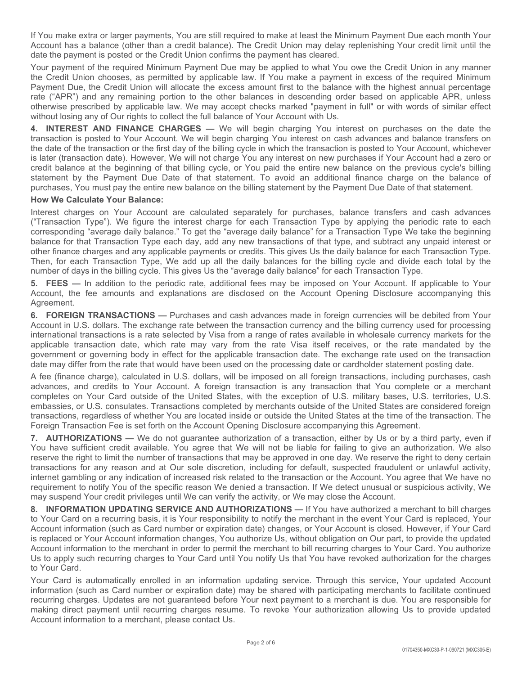If You make extra or larger payments, You are still required to make at least the Minimum Payment Due each month Your<br>Account has a balance (other than a credit balance). The Credit Union may delay replenishing Your credit date the payment is posted or the Credit Union confirms the payment has cleared.

If You make extra or larger payments, You are still required to make at least the Minimum Payment Due each month Your<br>Account has a balance (other than a credit balance). The Credit Union may delay replenishing Your credit If You make extra or larger payments, You are still required to make at least the Minimum Payment Due each month Your Account has a balance (other than a credit balance). The Credit Union may delay replenishing Your credit If You make extra or larger payments, You are still required to make at least the Minimum Payment Due each month Your Account has a balance (other than a credit balance). The Credit Union may delay replenishing Your credit If You make extra or larger payments, You are still required to make at least the Minimum Payment Due each month Your Account has a balance (other than a credit Union confirms the payment has cleared.<br>Account has a balance If You make extra or larger payments, You are still required to make at least the Minimum Payment Due each month Your<br>Account has a balance (other than a credit balance). The Credit Union may delay replenishing Your credit If You make extra or larger payments, You are still required to make at least the Minimum Payment Due each month Your<br>Account has a balance (other than a credit balance). The Credit Union may delay replenishing Your credit If You make extra or larger payments, You are still required to make at least the Minimum Payment Due each month Your<br>Account has a balance (other than a credit balance). The Credit Union may delay replenishing Your credit

If You make extra or larger payments, You are still required to make at least the Minimum Payment Due each month Your<br>Account has a balance (other than a credit balance). The Credit Union may delay replenishing Your credit If You make extra or larger payments, You are still required to make at least the Minimum Payment Due each month Your Account has a balance (other than a credit Union confirms the payment has cleared.<br>Account has a balance If You make extra or larger payments, You are still required to make at least the Minimum Payment Due each month Your Account has a balance (other than a credit balance). The Credit Union may delay replenishing Your credit If You make extra or larger payments, You are still required to make at least the Minimum Payment Due each month Your Account has a balance (other than a credit Union confirms the payment has cleared.<br>Your payment is poste If You make extra or larger payments, You are still required to make at least the Minimum Payment Due each month Your<br>Account has a balance (other than a credit balance). The Credit Union may delay replenishing Your credit If You make extra or larger payments, You are still required to make at least the Minimum Payment Due each month Your Account has a balance (other than a credit balance). The Credit Union may delay replemishing Your credit If You make extra or larger payments, You are still required to make at least the Minimum Payment Due each month Your<br>Account has a balance (other than a credit balance). The Credit Union may delay replenishing Your credit If You make extra or larger payments, You are still required to make at least the Minimum Payment Due each month Your Account has a balance (chere than a credit Union or Minis Credit Union confirms the payment has cleared, If You make extra or larger payments, You are still required to make at least the Minimum Payment Due each month Your Account has a balance (other than a credit bialnoos). The Credit Union may delay replenishing Your credi If You make extra or larger payments, You are still required to make at least the Minimum Payment Due each month Your<br>Account has a balance (other than a credit balance). The Credit Union may delay replenishing Your credit If You make extra or larger payments, You are still required to make at least the Minimum Payment Due each month Your Account has a balance (chere than a recell balance). The Credit Union may delay replenishing Your credit If You make extra or larger payments, You are still required to make at least the Minimum Payment Due each month Your Afrom the Account has a balance (other from an credit balance). The Credit Union may delay repletable pa Account has a balance (other than a credit balance). The Credit Union may delay replenishing Your credit limit until the Account has a balance (other than a credit Union confirms the payment Is a credit Union chooses, as p Your payment of the required Minimum Fayment Due may be applied to what You owe the Credit Union in any menner<br>The Credit Union chooses, as permitted by applicable law. If You make a payment in excess of the required Due, the Creative that the most of the most are payent in excess of the engineer of the realisting of the properties the properties the properties are any remaining portion to the other balance with the highest amound percentag rate ("APR") and any remaining portion to the other balances in descending order based on applicable APR, unless<br>A. INTEREST AND FINANCE CHARGES — We will begin charging You interest on purchases on the date the UNIT or Wi otherwise prescribed by appliciable law. We may accept checks marked "payment in full" or with words of similar effect<br>without losing any of Our rights to collect the full balance of Your Account with Us.<br>
A. INTEREST AND with the singular of Our rights to collect the full balance of You Account with Use.<br>Havanteed the posted to You Account. We will hegin charging You interest on cash advances and balance transfers on<br>the date of the transa 4. INTEREAT AND FINANCE CHARGAGES — We will begin charging You interest on a cash advances an the date the stands the variable transaction date, the billing over interest on a cash advances and balance transfers on the dat

#### How We Calculate Your Balance:

number of days in the billing cycle. This gives Us the "average daily balance" for each Transaction Type. transaction is posted to Your Account. We will hegin charging You interest on cash advances and balance transfers on the Uniteraction is parel in which the transaction is posted to Your Account Micheler (transaction date). the date of the framesation or the first day of the billing cycle in which the transaction is posted to Your Account, which wiseder that be interest on the protocont which the transaction date are the beginning of that bil is later (transaction at the Dependent and exploration and the sect of the being the sect of the sect of the sect of this statement. To avoid an a distinct that statement by the Payament Due Date of that statement by the P credit balance at the beginning of that billing cycle, or You paid the entire new balance or the previous cycles billing thances, Nour matter in the payronity correlates, Nour Music any the payron of the statement by the P statement by the Payment Due Date of this talstement. To avoid an additional finance charge on the balance that states of the Instance charge on the balance that states. However, the control outside the United States on Yo purchasses, You must pay the entire new balance on the billing statement by the Payment Due Date of that statement.<br>Interest charges on Your Account are calculated separately for purchasses, balance transfers and cash adva How We Calculate Your Balance:<br>
Interaction regard on Yor Account are calculated separately for purchases, balance transfers and cash advances<br>
Interaction responsibly balance. To get the "average disit) balance for a Tran ("Transaction" Type"). We figure the interest charge for each Transaction Type by applying the periodic rate to each<br>corresponding "average daily balance." To get the "average daily balance" for a Transaction Type we take

Agreement.

Foreign Transaction Fee is set forth on the Account Opening Disclosure accompanying this Agreement.

by whill not be liable for failing to give an annoration. This dignity Disclosure accompanying this Agreement.<br>
Exation of a transaction, either by Us or by a third party, even if<br>
ziation of a transaction of the Account. corresponding "average caliy balance." To get the "average caliy balance" for a Transaction Type we lake the beginning<br>Dalance for that Transaction Type acah day, and any new transactions of that lype, and subtract ary unp balaince for that Transaction Type each day. ad any new transactions of that type, and subtrinct any unper-<br>balter finance charges and any applicable payments or credits. This gives Us the daily balance for each Transactio ofther finance charges and any applicable payments of credits. This gives Us the daily balance for each Transaction Type.<br>Then, for each Transaction Type, We add up all the daily balances for the billing cycle and divide e Then, for each Transaction Top, We add up all the daily balanes for the billing orgic and divide any individual increased risk related for the billing coreased risk relation of the stress results the forest and divide each rumber of days in the billing cycle. This gives Us the "average daily balance" for each Transaction Type.<br>
5. FEBS — In addition to the periodic rate, additional fees may be imposed on Your Account, If applicable to Your<br>A **6.** FEES — in addition to the pendalc rate, additional fees may be imposed on Your Account. If applicable to Your Account, the emotions and explanations are disclosed on the Account (Depring Disclosure accompanying this A Account, the fee amounts and explanations are disclosed on the Account Opening Disclosure accompanying this<br>Account, the ce amounts and explanations are disclosed on the Account Opening Disclosure accompanying this<br>Recount Agreement.<br>
A. COREIGN TRANSACTIONS — Purchases and cash advances made in foreign currencies will be debited from Your<br>
A. COREIGN TRANSACTIONS – Purchases and cash advances made in foreign currencies will be debited for p **E. FOREIGN TRANSACTIONS** — Purchases and cash advances made in foreign currencies will be debited from Your Mccount in U.S. dollars. The exchange rate between the transaction date, which relates the prediction date, which is. "Concident in A measure in the splace of the material controllation or the material controllation and the material controllation and the material controllation and the splitted or the splitted or the splitted or the sp Account in the merchant in eact with rate has been also that the merchant in order to the merchant in order to the merchant in order to the merchant in order to the merchant in order to the merchant the merchant of the mer numentation diet, which recurring boy was non-tangle unit and the systemation in who select to the proportion date. The excharge reduced by the detailed mandidic in the control detailed that the control detailed authoritie date may differ from the rate that would have been used on the processing date or cardholder statement posting date. A fee (finance charge), calculated in U.S. dollars, will be imposed on all foreign transactions, includin As et is more than the control of the matter of the matter of the share with the imposed on all foreign transactions, including purchases, as an adventere, and credits to Your Account. A foreign transactions is any transac Recurring to the control of the United State of the United States. Notice is an interference of the United States are considered before the United States are not guaranteed before the United States are considered for eight able and velocular of the methanic methanic compute Card unit and velocular in the sception of U.S. millitary bases, U.S. terms the substitute the United States are considered for the United States are considered for gigar

to Your Card.

Account information to a merchant, please contact Us.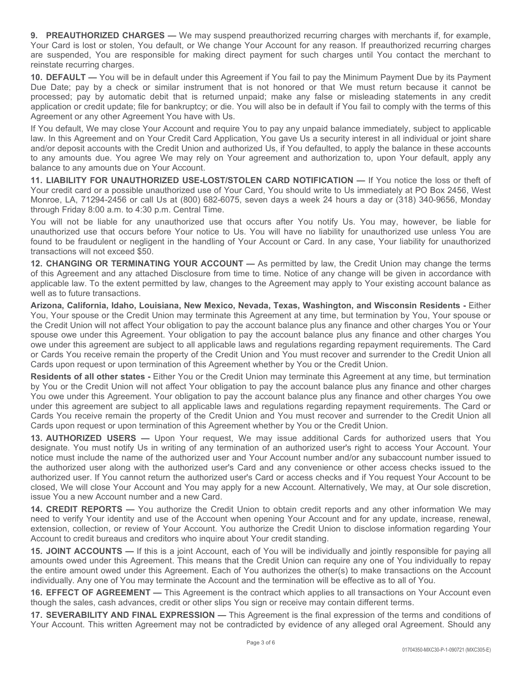9. PREAUTHORIZED CHARGES — We may suspend preauthorized recurring charges with merchants if, for example,<br>Your Card is lost or stolen, You default, or We change Your Account for any reason. If preauthorized recurring charg 9. **PREAUTHORIZED CHARGES** — We may suspend preauthorized recurring charges with merchants if, for example, Your Card is lost or stolen, You default, or We change Your Account for any reason. If preauthorized recurring cha reinstate recurring charges.

**9. PREAUTHORIZED CHARGES —** We may suspend preauthorized recurring charges with merchants if, for example, Your Card is lost or stolen, You default, or We change Your Account for any reason. If preauthorized recurring cha 9. **PREAUTHORIZED CHARGES** — We may suspend preauthorized recurring charges with merchants if, for example, Your Card is lost or stolen, You default, or We change Your Account for any reason. If preauthorized recurring cha 9. **PREAUTHORIZED CHARGES** — We may suspend preauthorized recurring charges with merchants if, for example,<br>Your Card is lost or stolen, You default, or We change Your Account for any reason. If preauthorized recurring cha 9. **PREAUTHORIZED CHARGES** — We may suspend preauthorized recurring charges with merchants if, for example, Your Card is lost or stolen, You default, or We change Your Account for any reason. If preauthorized recurring cha **9. PREAUTHORIZED CHARGES** — We may suspend preauthorized recurring charges with merchants if, for example, Your Card is lost or stolen, You default, or We change Your Account for any reason. If preauthorized recurring cha Agreement or any other Agreement You have with Us. 9. **PREAUTHORIZED CHARGES** — We may suspend preauthorized recurring charges with merchants if, for example, Your Card is lost or stolen, You default, or We change Your Account for any reason. If preauthorized recurring cha **9. PREAUTHORIZED CHARGES** — We may suspend preauthorized recurring charges with merchants if, for example, Your Card is lost or stolen, You default, or We change Your Account for any reason. If preauthorized recurring cha **9. PREAUTHORIZED CHARGES** — We may suspend preauthorized recurring charges with merchants if, for example, Your Card is lost or stolen, You default, or We change Your Account for any reason. If preauthorized recurring c **9. PREAUTHORIZED CHARGES** — We may suspend preauthorized recurring charges with merchants if, for example, Your Card is lost or stolen, You default, or We change Your Account for any reason. If preauthorized recurring c 9. **PREAUTHORIZED CHARGES** — We may suspend preauthorized recurring charges with merchants if, for example,<br>Your Card is lost or stolen, You default, or We charge Your Account for any reason. If preauthorized recurring cha 9. **PREAUTHORIZED CHARGES** — We may suspend preauthorized recurring charges with merchants if, for example, Your Card is lost or stolen, You clefault, or We change Your Account for such charges until You contact the mercha 9. PREAUTHORIZED CHARGES — We may suspend preauthorized recurring charges with merchants if, for example, Your Card is lost or stolen, You default, or We change Your Account for any reason. If preauthorized recurring charg **9. PREAUTHORIZED CHARGES** — We may suspend preauthorized recurring charges with merchants if, for Your Card is lost or stolen, You default, or We change Your Account for any reason. If preauthorized recurring reinsates 9. PREAUTHORIZED CHARGES — We may suspend preauthorized recurring charges with merchants if, for example, You cars to stolet in Voto charge You Account for any reason. If preauthorized recurring charges with the average th 9. PREAUTHORIZED CHARGES — We may suspend preauthorized recurring charges with merchants if, for example,<br>Your Card is lost or stolen, You default, or We change Your Account for any reason. If preauthorized recurring charg **9.** PREAUTHORIZED CHARGES — we may suspend preauthorized recurring charges with merchants if, for example, Your Card is lost or sich as found frout, or We change Your Account for any reasson. If preauthorized recurring c Your Card is lots to stolearly, to we change Your Account for any reason. If preadthroized recurring charges the Credit Counter Card ACCOUNT — As permitted tree curring charges with Voucontact the merchant to relate recur are suspended, You are responsible for making direct payment for such changes until You contact the merchant to 10. DEFAULT — You will be in default under this Agreement if You falling pay the Minimum Payment Dus by its Pa reintatte recurring charges.<br>
The DEFAULT — You will be in default under this Agreement if You fail to pay the Minimum Payment Due by its Payment<br>
Due Date; pay by a check or similar instrument that is not horored or that

balance to any amounts due on Your Account.

transactions will not exceed \$50.

well as to future transactions.

Due Date: pay by a check or similar instrument that is not honored or that We must return because it cannot be<br>processed; pay by automatic debit that is returned unpaid; make any false or misleading statements in any credi processed; pay by a union to the two-may reading that is retunned unpaid; make any false or misleading statements in any credit Union may terminate the Agreement or any the Agreement or any terminate the Credit Union may t application or credit update. This for bankruptcy, or die. You will also be in default if You fail to comply with the terms of this If You default. We may dotes Your Account and require You to pay any uppald balance immedi Agreement or any other Agreement Mou have with Us.<br>
My You default, We may does Your Account and require You to pay any unpaid balance immediately, subject to applicable<br>
law In this Agreement and on Your Credit Card Appli If You default. We may dote Swar (was well as not require You to pay any unpaid balance immediately, subject to applicable<br>have in this Agreement and on Your Credit Card Application, You gave Us a security interest in all iaw. In this Agreement and on Your Credit Card Application. You gave Us a security interest in all individual or joint sheare the state in the state in the state in the Credit Union and authorized Us, if You detaulted, to Cards upon request or upon termination of this Agreement whether by You or the Credit Union. to any amounts due. You agree We may rely on Your agreement and authorization to, upon Your default, apply any<br>14. LABLILITY FOR UNAUTHORIZED USE-LOST/STOLEN CARD NOTIFICATION — If You notice the loss or thet of<br>Your credi balance to any amounts due on You Account. Cour of the Credit Union and You must recover and surroredit care of the Credit Union The Credit Union and or the Credit Union The Credit Credit Credit Credit Credit Credit Credit 11. LIABILITY FOR UNAUTHORIZED USE-LOST/STOLEN CARD NOTIFICATION — If You notice the loss or thet of the CHARD NOTIFICATION - The universe to the formed through Firings 100 and the season of the CHARD Moreos. A, 71294-2456 You, reading and or a possible unauthorized use of Your Card, You should write to Us immediately at PO Box 2456, West<br>Your credit card or a possible unauthorized use of Your Card, You should write to Us immediately at PO B Monne. LA, 77294-2456 or call Use air (800) 89-26075, seven days a week 24 hours a day or (318) 340-9656. Monday<br>Monume, LA, 77294-2456 or call Use air (800) 89-26075, seven days a week 24 hours a day or (318) 340-9656. Mo You or the liable for any unauthomized use that occurs after You notify Us. You may, however, be liable for any change that occurs after Your most however, be liable for any that the form of the and found to be franced to

Cards upon request or upon termination of this Agreement whether by You or the Credit Union.

The mean issue and those the Credit Union.<br>
In the Credit Union.<br>
The mean issue additional Cards for authorized users that You<br>
You or the Credit Union.<br>
The mean authorized users fight to access Your Account. Your<br>
Your unauthmizized user hat occurs before Your motives to Us. You will have no liability for unauthmizized use unless You are<br>found to be fractured to recept SOO. The handling of Your Account or Card. In any case, Your liabilit found to be fraudulated or regileeratin attending of Your Account or Card. In any case, Your liability for unauthorized<br>12. **CHANGING OR TERMINATING YOUR ACCOUNT** — As permitted by law, the Credit Union may change the term transactions will not exceed \$50.<br>
21. CHAMGNIGO OR TERMINATING YOUR ACCOUNT — As permitted by law, the Credit Union may change the terms<br>
21. CHAMGNIGO OR TERMINATING YOUR ACCOUNT — As permitted by law, the Credit Union m 12. CHANGING OR TERMINATING YOUR ACCOUNT — As permitted by law, the Credit Union may change the terms of this Agreement may antibate by law. The to thim. Notice of any change will be given in accordance with or lay cannot La. Christman the Totil Residents of the Credit Union and Your Account Tumber and Your Account and the Credit Union they vanish apply to Your existing account balance as applicable law, to the extert permitted by law, chan issue You a new Account number and a new Card. well as to future transactions.<br>
Well as to future transactions (Addit Union may terminate this Agreement at any lime, but termination by You, Your spouse or<br>
the Credit Union will met after Your obligation to pay the acco Arizona, California, Idaho, Louisiana, New Mexico, Nevada, Toxas, Washington, and Wisconsin Residents - Either You, Your spotten of the Credit Union will mot altered to the Credit Union will mot altered this Agreement at a **Extending Candison** and the review means the weaker weaker weaker weaker weaker weaker weaker weaker weaker weally universide the Credit Union minimization in particle in the credit Union to disclose the Credit Union to d spouse owe under this Agreement. Your childreation' to pay the account balance plus any finance and other charges You<br>Sove under this agreement are subject to all applicable laws and regulations regarding repayment require awo under this agreement are subject to all applicable laws and regulations regarding repayment requirements. The Card Credit Union and You must recover and surrender to the Credit Union.<br>Cards upon request or unon termina or Cards' Your receive remain the property of the Credit Union and You must recover and surrencer in the property of the Credit Union and You must recover and surrence in the predict Union and You authorize to the Credit U Cards upon request or upon termination of this Agreement whether by You or the Credit Union.<br> **Residents of all other states** - Elither You or the Credit Union may terminate this Agreement at any time, but termination<br> **Re Residents of all other states - Ellier Your of the Credit Union may terminate this Agreement at any time, but termination on the Credit Union may terminate this Agreement are subject to all applicable to boy the account b** by You are the Credit Union of silence in the Credit Union back that the sales are the sales, cash advance by the account balance plus any finance and other charges You over the Sales any finance and other charges You over You owe under this Agreement. Your obligation to pay the account balance plus any finance and other charges You over<br>Cards You recoive remain the property of the Credit Union and You must recover and surrencer to the Credi under this agreement are subject to all applicable laws and regulations regarding repaynent requirements. The Card or<br>Cards You receive remain the property of the Credit Union and You must receiver and surrender to the Cre

Account to credit bureaus and creditors who inquire about Your credit standing.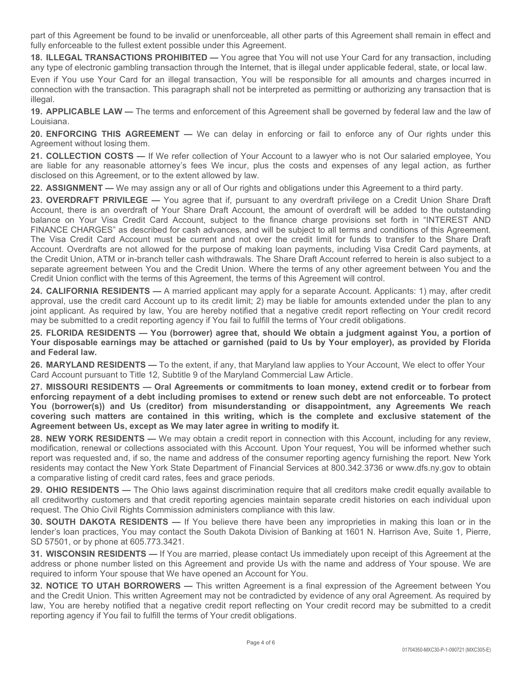part of this Agreement be found to be invalid or unenforceable, all other parts of this Agreement shall remain in effect and fully enforceable to the fullest extent possible under this Agreement.<br>18. ILLEGAL TRANSACTIONS P

part of this Agreement be found to be invalid or unenforceable, all other parts of this Agreement shall remain in effect and<br>fully enforceable to the fullest extent possible under this Agreement.<br>**18. ILLEGAL TRANSACTIONS** part of this Agreement be found to be invalid or unenforceable, all other parts of this Agreement shall remain in effect and<br>fully enforceable to the fullest extent possible under this Agreement.<br>18. ILLEGAL TRANSACTIONS P part of this Agreement be found to be invalid or unenforceable, all other parts of this Agreement shall remain in effect and<br>fully enforceable to the fullest extent possible under this Agreement.<br>**18. ILLEGAL TRANSACTIONS** part of this Agreement be found to be invalid or unenforceable, all other parts of this Agreement shall remain in effect and<br>fully enforceable to the fullest extent possible under this Agreement.<br>**18. ILLEGAL TRANSACTIONS** part of this Agreement be found to be invalid or unenforceable, all other parts of this Agreement shall remain in effect and<br>fully enforceable to the fullest extent possible under this Agreement.<br>18. ILLEGAL TRANSACTIONS P illegal. part of this Agreement be found to be invalid or unenforceable, all other parts of this Agreement shall remain in effect and<br>tilly enforceable to the fullest extent possible under this Agreement.<br> **18. ILLEGAL TRANSACTIONS** part of this Agreement be found to be invalid or unenforceable, all other parts of this Agreement shall remain in effect and<br>fully enforceable to the fullest extent possible under this Agreement.<br> **18. ILLEGAL TRANSACTIONS** part of this Agreement be found to be invalid or unenforceable, all other parts of this Agreement shall remain in effect and<br>
10 fully enforceable to the fullest extent possible under this Agreement.<br>
118. LLEGAL TRANSACTI part of this Agreement be found to be invalid or unenforceable, all other parts of this Agreement shall remain in effect and<br>fully enforceable to the fullest extent possible under this Agreement.<br>**18. ILLEGAL TRANSACTIONS** 

Louisiana.

Agreement without losing them.

disclosed on this Agreement, or to the extent allowed by law.

part of this Agreement be found to be invalid or unenforceable, all other parts of this Agreement shall remain in effect and<br>42. LLEGAL TRANSACTIONS PROHIBITED — You agree that You will not use Your Card for any transactio part of this Agreement be found to be invalid or unenforceable, all other parts of this Agreement shall remain in effect and<br>Milly enforceable to the fullest extent possible under this Agreement.<br>
21. LLEGAL TRANSACTIONS P part of this Agreement be found to be invalid or unenforceable, all other parts of this Agreement shall remain in effect and thy enforceable to the flules stetent possible under this Agreement Share They are NLEGAL TRANSAC part of this Agreement be found to be invalid or unenforceable, all other parts of this Agreement shall remain in effect and<br>tuly enforceable to the fullest scketch possible under this Agreement.<br>You will not use Your Card part of this Agreement be found to be invalid or unenforceable, all other parts of this Agreement shall remain in effect and<br>**16. ILLEGAL TRANSACTIONS PROHIBITED** — You agree that You will not use Your Card for any transac part of this Agreement be found to be invelid or unenforceable, all other parts of this Agreement shall remain in effect and<br>Muly enforceable to the fullest extent possible under this Agreement.<br>To will not use Your Card f part of this Agreement be found to be invalid or unenforceable, all other parts of this Agreement shall remain in effect and<br>that we move the further states are not passible under this Agreement.<br>
16. LLEGAL TRANSACTIONS P the units registerative to count of order that in the Credit Union (Search teller cash will not use Your Card for any transaction, including<br>TS. ILLEGAL TRANSACTIONS PROMIENTED — You agree that You will not use Your Card f state and the lattest waver all the means the meaning that in the liegal under applicable forfails and two many type of electronic granting transaction, including<br>any type of electronic gambiling transaction hrough the int Credit Union conflict with the terms of this Agreement, the terms of this Agreement will control. any type to recount (and Matter The Water Caliform Cause (and Signer Theorem is the separation of the separation of the separation of the reflection with the transaction, You will be responsible for all amounts and charges Even if You use Your Card To the credit Union. You will be responsible for all amounts and charges incurred in the responsible contents of the system of the system of the system of this Apple Card Account to the law of Lou connection with the transaction. This paragraph shall not be interpreted as permitting or authorizing any transaction that is<br>19. APPLICABLE LAW — The terms and enforcement of this Agreement shall be governed by federal la 19. APPLICABLE LAW — The terms and enforcement of this Agreement shall be governed by tederal law and the law of<br>20. ENFORCING THIS AGREEMENT — We can delay in enforcing or fail to enforce any of Our rights under this<br>25. Louisiana, 1997 and AGREMENT — We can delay in enforcing or fail to enforce any of Our rights under this Agreement without losing them.<br>
Agreement without losing them.<br>
Agreement without losing them there collection of You Agreement without losing then<br>
Agreement windividualism of Your Account to a lawyer who is not Our stained employee, You<br>
are liable for any reasonable altorney's fers We incur, buts the costs and expenses of any legal act are liable for any reasonable attompy is tes We incur, buts the costs and expenses of any legal action, as turther<br>22. ASSIGNMENT—We may assign any or all of Ouringhts and obligations under this Agreement to a third party. disclosed on this Agreement, or to the extend lidit pursuant to a debt including promises to extend the including considered in the including or a Credit Union Share Draft SAC OVERNAFT PRIVILEGE — You agree that if, pursua 22. ASSIGNMENT — We may assign any or all of Our rights and obligations under this Agreement to a third party.<br>ASSIGNMENT — NYMEGE — You agree that if, pursuant to any overdraft privilege on a Credit Union Share Draft<br>Acco 23. OVERDRAFT PRWLEGE — You agree that if, pursuant to any overdraft will be a dredit Union Share Draft Matter<br>Account, there is an overdraft of Your Share that Account, the amount of overdraft will be added to the outstan balance on Your Graft Card Account, subject to the finance charge provisions set forth in "NTEREST AND THENEST AND REGINENTS — ME The Visa Credit Card Account, Overdrafts are not allowed for the purpose of making loan paym FINANCE CHARGES" as described for ceah law will be suiter to all terms and conditions of this Agreement.<br>The Visa Credit Union, ATM or in-branch leter ceah with draws. The Credit limit for funds to transfer to the Share Dr

may be submitted to a credit reporting agency if You fail to fulfill the terms of Your credit obligations.

and Federal law.

Card Account pursuant to Title 12, Subtitle 9 of the Maryland Commercial Law Article.

Agreement between Us, except as We may later agree in writing to modify it.

From the control of the Universal and Control of the Agreement Street and Control of the consumer reporting agency from the informed whether such the consumer reporting agency furnishing the report. New York Financial Ser The Visa Credit Card Account. must be current and not over the credit limit for funds to transfer to the Share Draft<br>Account. Overdrafts are not allowed for the purpose of making loan payments, including Visa Credit Card p Account Demartment of a det including promises to extend a result and y Sire Credit Card payments, a contact a proparate a greenent between You and the Credit Union conflict with the terms of this Agreenent, the terms of t a comparative listing of credit card rates, fees and grace periods. separate agreement between You and the Credit Union. Where the terms of any other agreement between You and the Credit Union conflict with the terms of this Agreement, the terms of this Agreement will control. Applicants: Credit Union continut the terms of this Agreement, the terms of this Agreement twith contring the proval, use the credit reporting agency and the credit reporting agency and the credit credit account up to its credit limit approval, use the credit card Kocount up to its credit limit; 2) may be liable for amounts extended under the pian to any interestigations and provided to a cellingeotic scenaring percy if You fail to full the terms of You ioni may be submitted to a certained by law, You are hereby notitied that a negative credit report releating on Your credit records<br>The Specifical properties of NCMIDA RESIDENTS — To the extent, if any, that Maryland law a 25. FLORIDA RESIDENTS — You (borrower) agree that, should We obtain a judgment against You, a portion of<br>Sour disposable earnings may be attached or garnished (paid to Us by Your employer), as provided by Florida<br>and Feder Your disposable earnings may be attached or garnished (paid to Us by Your employer), as provided by Florida<br>and Federal law.<br>Card Account pursuant to Tille 12, Subitile 9 of the Maryliand Commercial Law Article.<br>Card Accou 26. MARYLAND RESIDENTS — To the extert, if any, that Maryland Commercial Law applies to Your Account, We elect to offer Your<br>Card Account pursuant to Title 12, Subitite 9 of the Maryland Commercial Law Article.<br>27. MISSOUR Card Account pursuant to liftie 12. Subititel 9.1 the Maryland Commercial Law Article.<br>Card Agreement of a debt including promiss to extend or renew such debt are not of rocoteals. To protect<br>Mor (borrower(s)) and Us (cre 27. MISSOURIR RESIDENTS — Oral Agreement is to commitments to loan money, extend credit or to forbear from the oral Agreement or core was credited to the oral or credit of the corrower(s)) and Us (credit corrower(s) and Us

request. The Ohio Civil Rights Commission administers compliance with this law.

SD 57501, or by phone at 605.773.3421.

required to inform Your spouse that We have opened an Account for You.

reporting agency if You fail to fulfill the terms of Your credit obligations.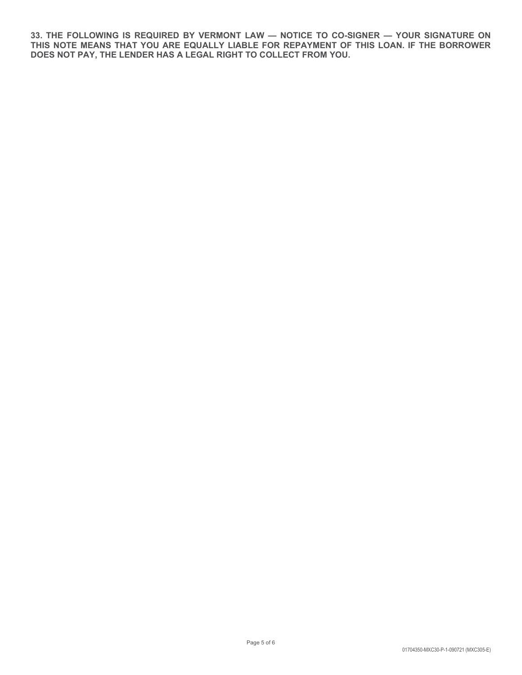33. THE FOLLOWING IS REQUIRED BY VERMONT LAW — NOTICE TO CO-SIGNER — YOUR SIGNATURE ON<br>THIS NOTE MEANS THAT YOU ARE EQUALLY LIABLE FOR REPAYMENT OF THIS LOAN. IF THE BORROWER<br>DOES NOT PAY, THE LENDER HAS A LEGAL RIGHT TO C 33. THE FOLLOWING IS REQUIRED BY VERMONT LAW — NOTICE TO CO-SIGNER — YOUR SIGNATURE ON<br>THIS NOTE MEANS THAT YOU ARE EQUALLY LIABLE FOR REPAYMENT OF THIS LOAN. IF THE BORROWER<br>DOES NOT PAY, THE LENDER HAS A LEGAL RIGHT TO C DOES NOT PAY, THE LENDER HAS A LEGAL RIGHT TO COLLECT FROM YOU.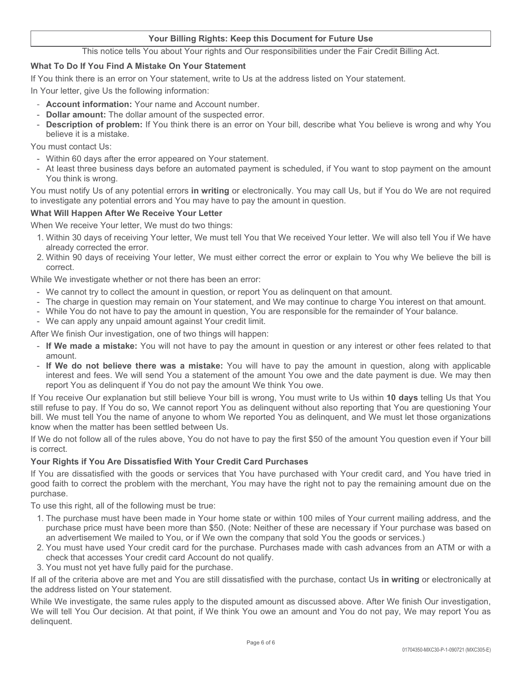### Your Billing Rights: Keep this Document for Future Use

**This notice tells You about Your rights: Keep this Document for Future Use**<br>This notice tells You about Your rights and Our responsibilities under the Fair Credit Billing Act.<br>**If You Find A Mistake On Your Statement**<br>ter

#### What To Do If You Find A Mistake On Your Statement

- 
- 
- **IF You four Billing Rights: Keep this Document for Future Use**<br> **IF You think there is an error on Your statement**<br>
If You think there is an error on Your statement, write to Us at the address listed on Your statement.<br>
I Vour Billing Rights: Keep this Document for Future Use<br>
This notice tells You about Your rights and Our responsibilities under the Fair Credit Billing Act.<br>
What To Do If You Find A Mistake On Your Statement<br>
If You think believe it is a mistake. Your Billing Rights: Keep this Document for Future Use<br>This notice tells You about Your rights and Our responsibilities under the Fair C<br>What To Do If You Find A Mistake On Your Statement<br>If You think there is an error on **Example 19 and Normal Propertion Control May have the error on Your Filtery Constant Conditions and Out The Constant Conditions and Out thin the mean Conditions when the air Credit Billing Act.<br>
You think there is an erro** - At least three business days before an automated payment for Future Use<br>
This notice tells You about Your rights and Our responsibilities under the Fair Credit Billing Act.<br>
That To Do If You Find A Mistake On Your State **1. This notice lells You Billing Rights: Keep this Document for Future Use**<br> **This notice lells You about Your rights and Our responsibilities under the Fair Credit Billing Act.**<br> **Your linkthere is an error on Your state** This notice tells **Solution** Rights: **Keep this Document for Future Use**<br> **2. Within 7D Do If You Find A Mistake On Your statement**<br>
Your letter, give Us the following information:<br>
Your letter, give Us the following infor Voul think there is an error on Your statement, write to Us at the address listed on Your statement.<br>
Your letter, give Us the following information: '<br>
- **Doblar amount of the altar amount of the suspected error.**<br>
- **Dob** For the same the same of the charge in the charge in the charge in the charge in the charge in the charge in the charge in the charge in the charge in the charge in the charge in the charge in the charge in the charge in t Tour letter, give Us in the following information: You ranne and Account number.<br>
- Dollar amount The dollar amount of the suspected error.<br>
- Dollar amount The dollar amount of the suspected error.<br>
- Description of probl - **Account information:** Your name and Account number.<br>
- **Dellar amount:** The dollar amount of the suspected error.<br>
- **Description of problem:** If You think there is an error on Your bill, describe what You believe is wr

- 
- You think is wrong.

Your Billing Rights: Keep this Document for Future Use<br>
This notice tells You about Your rights and Our responsibilities under the Fair Credit Billing Act.<br>
If You think there is an enror on Your statement, write to Us at This notice tells You Billing Rights: Keep this Document for Future Use<br>
This notice tells You about Your rights and Our responsibilities under the Fair Credit Billing Act.<br>
If You think there is an error on Your statement Vour Billing Rights: Keep this Document for Future Use<br>
This notice tells You about Your rights and Our responsibilities under the Fair Credit Billing<br>
If You think there is an error on Your statement,<br>
In Your think there What To Do If You Find A Mistake On Your Statement<br>
If You think there is an error on Your statement, write to Us at the address listed<br>
In Your letter, give Us the following information:<br>
- Account number.<br>
- **Colume info** 

#### What Will Happen After We Receive Your Letter

- already corrected the error.
- correct.

- 
- 
- 
- 

- amount.
- Dollar amount. The ollar amount of the suspected error.<br>
Description of problem: If You think there is an error on Your bill, describe what You believe is wrong and why You<br>
You must contact Us:<br>
 Within 60 days after t or Within 60 days after the error appeared on Your statement.<br>
A Whith 60 days after the error appeared on Your statement is scheduled, if You want to stop payment on the amount<br>
- Niclass three business days before an aut

With 60 days after the eror appeared on Your statement.<br>
With instead three business days before an automated payment is scheduled, if You want to stop payment on the amount<br>
You think is wrong.<br>
Thus the filly Us of any p At least three business days before an automated payment is scheduled, if You want to stop payment on the amount<br>You think is wrong.<br>The must notify Us of any potential errors in writing or electronically. You may call Us, The Vour explanation of the Model of the Model of the Model of the Significanty Cour that With What Will Happen After We must the Usersignate any potential errors and You may have to pay the amount in question.<br>
When Wie r You must notifit (Is of any potential errors in writing or electronically. You may call Us, but if You do We are not required<br>What Will Happen After We Receive Your Letter<br>When We report You letter, We must do two things:<br> bill must the we must be investigate any potential errors and You may have to pay the amount in question.<br>
When Will Happen After We Receive Your Letter, We must tell You that We received Your letter. We will also tell You What Will Happen After We Receive Your Letter<br>
1. White Will Happen After We Receive Your Letter<br>
1. Within 30 days of receiving Your letter, We must do two things:<br>
1. Within 30 days of receiving Your letter, We must ell When We receive Your letter, We must do two things:<br>
Your half of days of receiving Your letter, We must tell You that We received Your letter. We will also tell You if We have<br>
2. Within 30 days of receiving Your letter, 2. Within 90 days of receiving Your letter, We must either correct the error or explain to You why We believe the bill is<br>While We investigate whether or not there has been an error:<br>
Ye cannot by the good to the are dissa correct.<br>
The charge in question may remain to the fais been an error:<br>
The charge in question may remain on Your statement, and We may omittue to charge You interest on that amount.<br>
The charge in question may remain on Y - The charge in question may remain on Your statement, and We may continue to charge You interest on that amount.<br>- While You do not have to pay the amount in question, You are responsible for the remainder of Your balance Wille You do not have to logy the amount in question, You are responsible for the remainder of Your balance.<br>We can apply any unpaid amount gainst Your credit limit. The second of any interest or other fees related to that We can apply any unpaid amount against Your credit limit.<br>The finish Our investigation, one of two things will happen:<br>
If We made a mistake: You will not have to pay the amount in question or any interest or other fees re The word of the purchase of the purchase with a purchase in a mode of the purchase is the purchase in the purchase is the purchase of the purchase of the purchase of the purchase of the purchase of the purchase of the purc The mail of the mixture was a mistake. You will not have to pay the amount in question or any interest or other fees related<br>amount if We do not believe there was a mistake: You will have to pay the amount in question, alo F IV or made a mistake: You will not have to pay the amount in question<br>
If We do not believe there was a mistake: You will have to pay the<br>
interest and fees. We will send You a statement of the amount You ove<br>
From You a If You recell the criteria above black the criteria above are more more than the criteria above and the criteria above are more in the criteria above and the criteria above are the criteria above throw that in the criteria Five the wave three was a mistake. To we mill need by a mill need by the annount in quest of the and the dispayer and the dispayer of You as delinquent if You do not pay the amount We think You ove.<br>If you receive Our expl report You are disputed for You do not pay the amount We think You over.<br>
If You red celve Our explanation but still believe Your built is wrong. You must write to Us within 10 days telling Us that You<br>
still reflects to If You receive Our explanation but still believe Your bill is wrong, You must write to Us within **10 days** telling Us that You Out our decision. We cannot report to as a delinquent without also reporting that You are dist

is correct.

#### Your Rights if You Are Dissatisfied With Your Credit Card Purchases

purchase.

To use this right, all of the following must be true:

- 
- 
- 

the protect and as definited in the must be those organizations<br>to pay the first \$50 of the amount You question even if Your bill<br>Card Purchases<br>may have the right not to pay the remaining amount due on the<br>may have the r delinquent.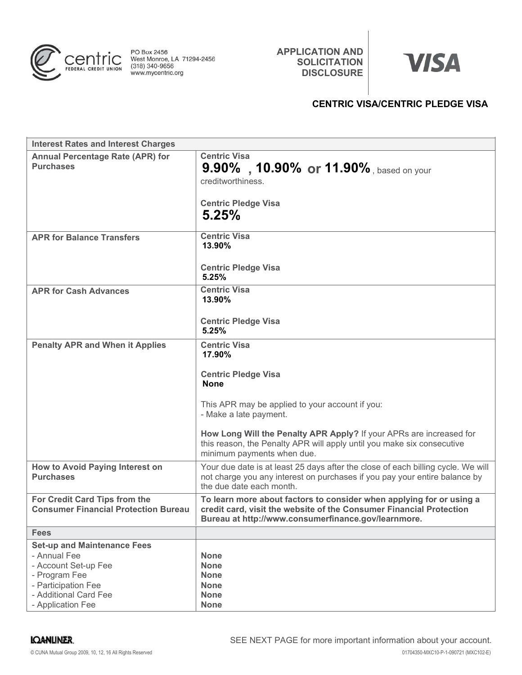

APPLICATION AND<br>
SOLICITATION<br>
DISCLOSURE<br>
CENTRIC VISA/CENTRIC PLEDGE VISA SOLICITATION WISA DISCLOSURE

# CENTRIC VISA/CENTRIC PLEDGE VISA

| PO Box 2456<br>entric<br>West Monroe, LA 71294-2456<br>(318) 340-9656<br>FEDERAL CREDIT UNION<br>www.mycentric.org                                               | <b>APPLICATION AND</b><br><b>SOLICITATION</b><br><b>DISCLOSURE</b>                                                                                                                                                                                                                                                                     | <b>VISA</b>                             |
|------------------------------------------------------------------------------------------------------------------------------------------------------------------|----------------------------------------------------------------------------------------------------------------------------------------------------------------------------------------------------------------------------------------------------------------------------------------------------------------------------------------|-----------------------------------------|
|                                                                                                                                                                  |                                                                                                                                                                                                                                                                                                                                        | <b>CENTRIC VISA/CENTRIC PLEDGE VISA</b> |
| <b>Interest Rates and Interest Charges</b>                                                                                                                       |                                                                                                                                                                                                                                                                                                                                        |                                         |
| <b>Annual Percentage Rate (APR) for</b><br><b>Purchases</b>                                                                                                      | <b>Centric Visa</b><br>9.90%, 10.90% or 11.90%, based on your<br>creditworthiness.<br><b>Centric Pledge Visa</b><br>5.25%                                                                                                                                                                                                              |                                         |
| <b>APR for Balance Transfers</b>                                                                                                                                 | <b>Centric Visa</b><br>13.90%<br><b>Centric Pledge Visa</b><br>5.25%                                                                                                                                                                                                                                                                   |                                         |
| <b>APR for Cash Advances</b>                                                                                                                                     | <b>Centric Visa</b><br>13.90%<br><b>Centric Pledge Visa</b><br>5.25%                                                                                                                                                                                                                                                                   |                                         |
| <b>Penalty APR and When it Applies</b>                                                                                                                           | <b>Centric Visa</b><br>17.90%<br><b>Centric Pledge Visa</b><br><b>None</b><br>This APR may be applied to your account if you:<br>- Make a late payment.<br>How Long Will the Penalty APR Apply? If your APRs are increased for<br>this reason, the Penalty APR will apply until you make six consecutive<br>minimum payments when due. |                                         |
| How to Avoid Paying Interest on<br><b>Purchases</b>                                                                                                              | Your due date is at least 25 days after the close of each billing cycle. We will<br>not charge you any interest on purchases if you pay your entire balance by<br>the due date each month.                                                                                                                                             |                                         |
| For Credit Card Tips from the<br><b>Consumer Financial Protection Bureau</b>                                                                                     | To learn more about factors to consider when applying for or using a<br>credit card, visit the website of the Consumer Financial Protection<br>Bureau at http://www.consumerfinance.gov/learnmore.                                                                                                                                     |                                         |
| <b>Fees</b>                                                                                                                                                      |                                                                                                                                                                                                                                                                                                                                        |                                         |
| <b>Set-up and Maintenance Fees</b><br>- Annual Fee<br>- Account Set-up Fee<br>- Program Fee<br>- Participation Fee<br>- Additional Card Fee<br>- Application Fee | <b>None</b><br><b>None</b><br><b>None</b><br><b>None</b><br><b>None</b><br><b>None</b>                                                                                                                                                                                                                                                 |                                         |
| <b>IQANLINER.</b><br>© CUNA Mutual Group 2009, 10, 12, 16 All Rights Reserved                                                                                    | SEE NEXT PAGE for more important information about your account.                                                                                                                                                                                                                                                                       | 01704350-MXC10-P-1-090721 (MXC102-E)    |